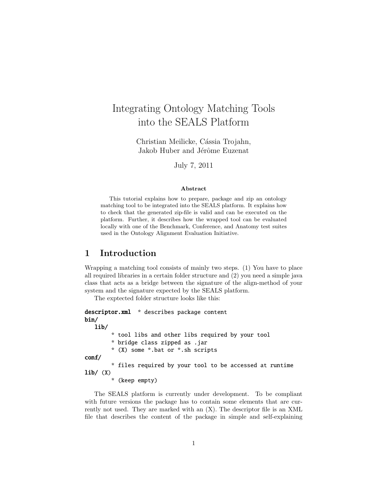# Integrating Ontology Matching Tools into the SEALS Platform

Christian Meilicke, Cássia Trojahn, Jakob Huber and Jérôme Euzenat

July 7, 2011

#### Abstract

This tutorial explains how to prepare, package and zip an ontology matching tool to be integrated into the SEALS platform. It explains how to check that the generated zip-file is valid and can be executed on the platform. Further, it describes how the wrapped tool can be evaluated locally with one of the Benchmark, Conference, and Anatomy test suites used in the Ontology Alignment Evaluation Initiative.

## 1 Introduction

Wrapping a matching tool consists of mainly two steps. (1) You have to place all required libraries in a certain folder structure and (2) you need a simple java class that acts as a bridge between the signature of the align-method of your system and the signature expected by the SEALS platform.

The exptected folder structure looks like this:

```
descriptor.xml * describes package content
bin/
   lib/
        * tool libs and other libs required by your tool
        * bridge class zipped as .jar
        * (X) some *.bat or *.sh scripts
conf/
        * files required by your tool to be accessed at runtime
lib/ (X)* (keep empty)
```
The SEALS platform is currently under development. To be compliant with future versions the package has to contain some elements that are currently not used. They are marked with an (X). The descriptor file is an XML file that describes the content of the package in simple and self-explaining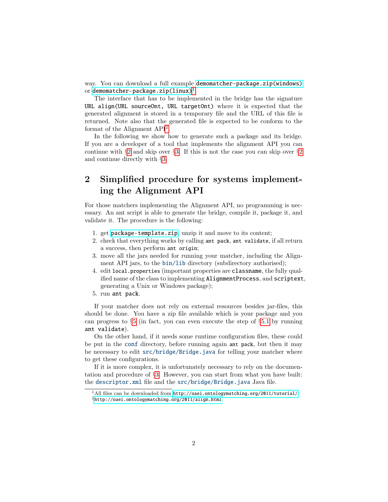way. You can download a full example [demomatcher-package.zip\(windows\)](http://oaei.ontologymatching.org/2011/tutorial/windows/demomatcher-package.zip) or demomatcher-package.zip $(\mathtt{linux})^1$  $(\mathtt{linux})^1$ .

The interface that has to be implemented in the bridge has the signature URL align(URL sourceOnt, URL targetOnt) where it is expected that the generated alignment is stored in a temporary file and the URL of this file is returned. Note also that the generated file is expected to be conform to the format of the Alignment API<sup>[2](#page-1-1)</sup>.

In the following we show how to generate such a package and its bridge. If you are a developer of a tool that implements the alignment API you can continue with  $\S 2$  $\S 2$  and skip over  $\S 3$ . If this is not the case you can skip over  $\S 2$ and continue directly with §[3.](#page-2-0)

## <span id="page-1-2"></span>2 Simplified procedure for systems implementing the Alignment API

For those matchers implementing the Alignment API, no programming is necessary. An ant script is able to generate the bridge, compile it, package it, and validate it. The procedure is the following:

- 1. get [package-template.zip](http://oaei.ontologymatching.org/2011/tutorial/package-template.zip), unzip it and move to its content;
- 2. check that everything works by calling ant pack, ant validate, if all return a success, then perform ant origin;
- 3. move all the jars needed for running your matcher, including the Alignment API jars, to the bin/lib directory (subdirectory authorised);
- 4. edit local.properties (important properties are classname, the fully qualified name of the class to implementing AlignmentProcess, and scriptext, generating a Unix or Windows package);
- 5. run ant pack.

If your matcher does not rely on external resources besides jar-files, this should be done. You have a zip file available which is your package and you can progress to  $\S5$  $\S5$  (in fact, you can even execute the step of  $\S5.1$  $\S5.1$  by running ant validate).

On the other hand, if it needs some runtime configuration files, these could be put in the conf directory, before running again ant pack, but then it may be necessary to edit src/bridge/Bridge.java for telling your matcher where to get these configurations.

If it is more complex, it is unfortunately necessary to rely on the documentation and procedure of §[3.](#page-2-0) However, you can start from what you have built: the descriptor.xml file and the src/bridge/Bridge.java Java file.

<span id="page-1-0"></span><sup>&</sup>lt;sup>1</sup>All files can be downloaded from  $http://oaei.ontologymatching.org/2011/tutorial/$ .

<span id="page-1-1"></span><sup>2</sup><http://oaei.ontologymatching.org/2011/align.html>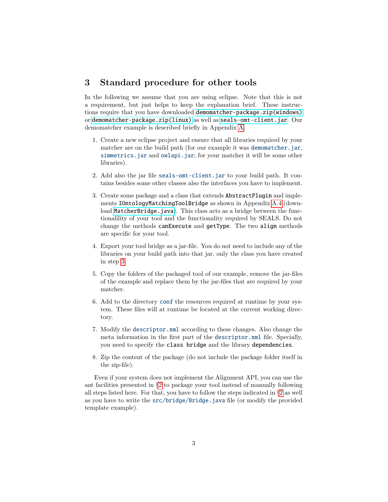## <span id="page-2-0"></span>3 Standard procedure for other tools

In the following we assume that you are using eclipse. Note that this is not a requirement, but just helps to keep the explanation brief. These instructions require that you have downloaded [demomatcher-package.zip\(windows\)](http://oaei.ontologymatching.org/2011/tutorial/windows/demomatcher-package.zip) or [demomatcher-package.zip\(linux\)](http://oaei.ontologymatching.org/2011/tutorial/linux/demomatcher-package.zip) as well as [seals-omt-client.jar](http://oaei.ontologymatching.org/2011/tutorial/seals-omt-client.jar). Our demomatcher example is described briefly in Appendix [A.](#page-8-0)

- 1. Create a new eclipse project and ensure that all libraries required by your matcher are on the build path (for our example it was demomatcher.jar, simmetrics. jar and owlapi. jar; for your matcher it will be some other libraries).
- 2. Add also the jar file seals-omt-client.jar to your build path. It contains besides some other classes also the interfaces you have to implement.
- <span id="page-2-1"></span>3. Create some package and a class that extends AbstractPlugin and implements IOntologyMatchingToolBridge as shown in Appendix [A.4](#page-11-0) (down-load [MatcherBridge.java](http://oaei.ontologymatching.org/2011/tutorial/MatcherBridge.java)). This class acts as a bridge between the functionalility of your tool and the functionality required by SEALS. Do not change the methods canExecute and getType. The two align methods are specific for your tool.
- 4. Export your tool bridge as a jar-file. You do not need to include any of the libraries on your build path into that jar, only the class you have created in step [3.](#page-2-1)
- 5. Copy the folders of the packaged tool of our example, remove the jar-files of the example and replace them by the jar-files that are required by your matcher.
- 6. Add to the directory conf the resources required at runtime by your system. These files will at runtime be located at the current working directory.
- 7. Modify the descriptor.xml according to these changes. Also change the meta information in the first part of the descriptor.xml file. Specially, you need to specify the class bridge and the library dependencies.
- 8. Zip the content of the package (do not include the package folder itself in the zip-file).

Even if your system does not implement the Alignment API, you can use the ant facilities presented in §[2](#page-1-2) to package your tool instead of manually following all steps listed here. For that, you have to follow the steps indicated in  $\S 2$  $\S 2$  as well as you have to write the src/bridge/Bridge.java file (or modify the provided template example).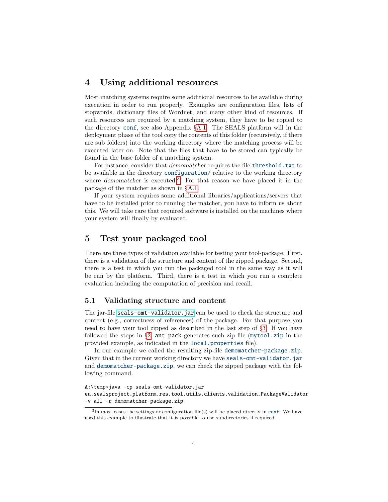## 4 Using additional resources

Most matching systems require some additional resources to be available during execution in order to run properly. Examples are configuration files, lists of stopwords, dictionary files of Wordnet, and many other kind of resources. If such resources are required by a matching system, they have to be copied to the directory conf, see also Appendix §[A.1.](#page-8-1) The SEALS platform will in the deployment phase of the tool copy the contents of this folder (recursively, if there are sub folders) into the working directory where the matching process will be executed later on. Note that the files that have to be stored can typically be found in the base folder of a matching system.

For instance, consider that *demomatcher* requires the file threshold.txt to be available in the directory configuration/ relative to the working directory where demomatcher is executed.<sup>[3](#page-3-2)</sup> For that reason we have placed it in the package of the matcher as shown in §[A.1.](#page-8-1)

If your system requires some additional libraries/applications/servers that have to be installed prior to running the matcher, you have to inform us about this. We will take care that required software is installed on the machines where your system will finally by evaluated.

## <span id="page-3-0"></span>5 Test your packaged tool

There are three types of validation available for testing your tool-package. First, there is a validation of the structure and content of the zipped package. Second, there is a test in which you run the packaged tool in the same way as it will be run by the platform. Third, there is a test in which you run a complete evaluation including the computation of precision and recall.

#### <span id="page-3-1"></span>5.1 Validating structure and content

The jar-file [seals-omt-validator.jar](http://oaei.ontologymatching.org/2011/tutorial/seals-omt-validator.jar) can be used to check the structure and content (e.g., correctness of references) of the package. For that purpose you need to have your tool zipped as described in the last step of §[3.](#page-2-0) If you have followed the steps in  $\S2$ , ant pack generates such zip file (mytool.zip in the provided example, as indicated in the local.properties file).

In our example we called the resulting zip-file demomatcher-package.zip. Given that in the current working directory we have seals-omt-validator.jar and demomatcher-package.zip, we can check the zipped package with the following command.

A:\temp>java -cp seals-omt-validator.jar eu.sealsproject.platform.res.tool.utils.clients.validation.PackageValidator -v all -r demomatcher-package.zip

<span id="page-3-2"></span> $3$ In most cases the settings or configuration file(s) will be placed directly in conf. We have used this example to illustrate that it is possible to use subdirectories if required.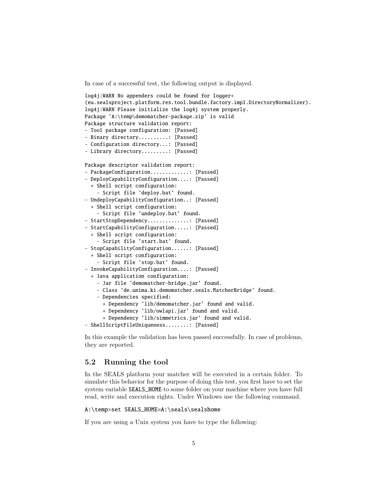In case of a successful test, the following output is displayed.

```
log4j:WARN No appenders could be found for logger+
(eu.sealsproject.platform.res.tool.bundle.factory.impl.DirectoryNormalizer).
log4j:WARN Please initialize the log4j system properly.
Package 'A:\temp\demomatcher-package.zip' is valid
Package structure validation report:
- Tool package configuration: [Passed]
- Binary directory..........: [Passed]
- Configuration directory...: [Passed]
- Library directory.........: [Passed]
Package descriptor validation report:
- PackageConfiguration..............: [Passed]
- DeployCapabilityConfiguration....: [Passed]
  + Shell script configuration:
    - Script file 'deploy.bat' found.
- UndeployCapabilityConfiguration..: [Passed]
  + Shell script configuration:
    - Script file 'undeploy.bat' found.
- StartStopDependency................ [Passed]
- StartCapabilityConfiguration.....: [Passed]
  + Shell script configuration:
    - Script file 'start.bat' found.
- StopCapabilityConfiguration......: [Passed]
  + Shell script configuration:
    - Script file 'stop.bat' found.
- InvokeCapabilityConfiguration....: [Passed]
  + Java application configuration:
    - Jar file 'demomatcher-bridge.jar' found.
    - Class 'de.unima.ki.demomatcher.seals.MatcherBridge' found.
    - Dependencies specified:
      + Dependency 'lib/demomatcher.jar' found and valid.
      + Dependency 'lib/owlapi.jar' found and valid.
      + Dependency 'lib/simmetrics.jar' found and valid.
- ShellScriptFileUniqueness........: [Passed]
```
In this example the validation has been passed successfully. In case of problems, they are reported.

### 5.2 Running the tool

In the SEALS platform your matcher will be executed in a certain folder. To simulate this behavior for the purpose of doing this test, you first have to set the system variable SEALS\_HOME to some folder on your machine where you have full read, write and execution rights. Under Windows use the following command.

#### A:\temp>set SEALS\_HOME=A:\seals\sealshome

If you are using a Unix system you have to type the following: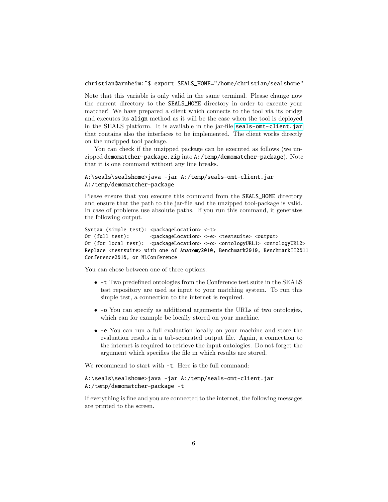christian@arnheim:˜\$ export SEALS\_HOME="/home/christian/sealshome"

Note that this variable is only valid in the same terminal. Please change now the current directory to the SEALS\_HOME directory in order to execute your matcher! We have prepared a client which connects to the tool via its bridge and executes its align method as it will be the case when the tool is deployed in the SEALS platform. It is available in the jar-file [seals-omt-client.jar](http://oaei.ontologymatching.org/2011/tutorial/seals-omt-client.jar) that contains also the interfaces to be implemented. The client works directly on the unzipped tool package.

You can check if the unzipped package can be executed as follows (we unzipped demomatcher-package.zip into A:/temp/demomatcher-package). Note that it is one command without any line breaks.

```
A:\seals\sealshome>java -jar A:/temp/seals-omt-client.jar
A:/temp/demomatcher-package
```
Please ensure that you execute this command from the SEALS\_HOME directory and ensure that the path to the jar-file and the unzipped tool-package is valid. In case of problems use absolute paths. If you run this command, it generates the following output.

```
Syntax (simple test): <packageLocation> <-t>
Or (full test): <packageLocation> <-e> <testsuite> <output>
Or (for local test): <packageLocation> <-o> <ontologyURL1> <ontologyURL2>
Replace <testsuite> with one of Anatomy2010, Benchmark2010, BenchmarkII2011
Conference2010, or MLConference
```
You can chose between one of three options.

- -t Two predefined ontologies from the Conference test suite in the SEALS test repository are used as input to your matching system. To run this simple test, a connection to the internet is required.
- -o You can specify as additional arguments the URLs of two ontologies, which can for example be locally stored on your machine.
- -e You can run a full evaluation locally on your machine and store the evaluation results in a tab-separated output file. Again, a connection to the internet is required to retrieve the input ontologies. Do not forget the argument which specifies the file in which results are stored.

We recommend to start with  $-t$ . Here is the full command:

#### A:\seals\sealshome>java -jar A:/temp/seals-omt-client.jar A:/temp/demomatcher-package -t

If everything is fine and you are connected to the internet, the following messages are printed to the screen.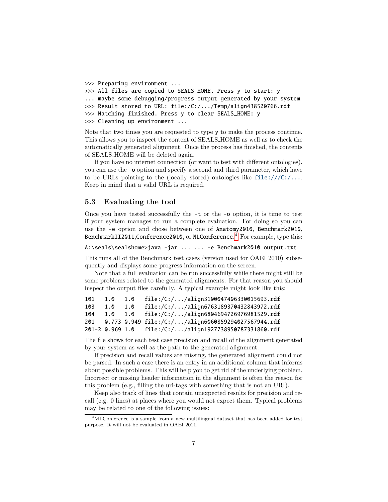```
>>> Preparing environment ...
>>> All files are copied to SEALS_HOME. Press y to start: y
... maybe some debugging/progress output generated by your system
>>> Result stored to URL: file:/C:/.../Temp/align438520766.rdf
>>> Matching finished. Press y to clear SEALS_HOME: y
>>> Cleaning up environment ...
```
Note that two times you are requested to type y to make the process continue. This allows you to inspect the content of SEALS HOME as well as to check the automatically generated alignment. Once the process has finished, the contents of SEALS HOME will be deleted again.

If you have no internet connection (or want to test with different ontologies), you can use the -o option and specify a second and third parameter, which have to be URLs pointing to the (locally stored) ontologies like  $file:///C://...$ . Keep in mind that a valid URL is required.

#### 5.3 Evaluating the tool

Once you have tested successfully the -t or the -o option, it is time to test if your system manages to run a complete evaluation. For doing so you can use the -e option and chose between one of Anatomy2010, Benchmark2010, BenchmarkII2011, Conference 2010, or MLConference.  $\rm ^4$  $\rm ^4$  For example, type this:

```
A:\seals\sealshome>java -jar ... ... -e Benchmark2010 output.txt
```
This runs all of the Benchmark test cases (version used for OAEI 2010) subsequently and displays some progress information on the screen.

Note that a full evaluation can be run successfully while there might still be some problems related to the generated alignments. For that reason you should inspect the output files carefully. A typical example might look like this:

| 101 | 1.0         | 1.0 | file:/C://align3100047406330015693.rdf                    |
|-----|-------------|-----|-----------------------------------------------------------|
| 103 | $1.0 \t1.0$ |     | file:/C://align6763189370432843972.rdf                    |
| 104 |             |     | 1.0 1.0 file:/C://align6804694726976981529.rdf            |
|     |             |     | 201  0.773  0.949  file:/C://align6060859294027567944.rdf |
|     |             |     | 201-2 0.969 1.0 file:/C://align1927738950787331860.rdf    |

The file shows for each test case precision and recall of the alignment generated by your system as well as the path to the generated alignment.

If precision and recall values are missing, the generated alignment could not be parsed. In such a case there is an entry in an additional column that informs about possible problems. This will help you to get rid of the underlying problem. Incorrect or missing header information in the alignment is often the reason for this problem (e.g., filling the uri-tags with something that is not an URI).

Keep also track of lines that contain unexpected results for precision and recall (e.g. 0 lines) at places where you would not expect them. Typical problems may be related to one of the following issues:

<span id="page-6-0"></span><sup>4</sup>MLConference is a sample from a new multilingual dataset that has been added for test purpose. It will not be evaluated in OAEI 2011.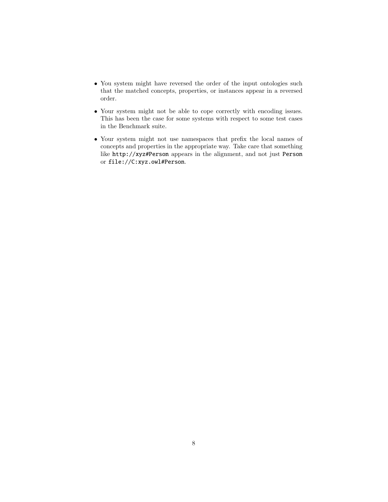- You system might have reversed the order of the input ontologies such that the matched concepts, properties, or instances appear in a reversed order.
- Your system might not be able to cope correctly with encoding issues. This has been the case for some systems with respect to some test cases in the Benchmark suite.
- Your system might not use namespaces that prefix the local names of concepts and properties in the appropriate way. Take care that something like http://xyz#Person appears in the alignment, and not just Person or file://C:xyz.owl#Person.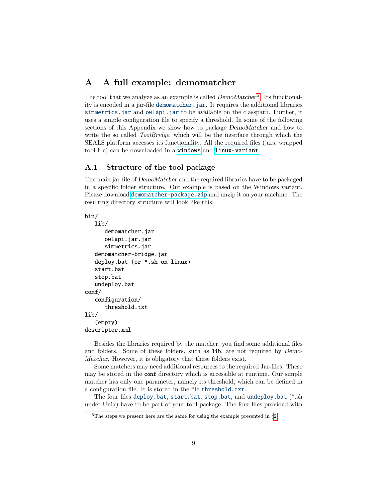## <span id="page-8-0"></span>A A full example: demomatcher

The tool that we analyze as an example is called  $DemoMatcher<sup>5</sup>$  $DemoMatcher<sup>5</sup>$  $DemoMatcher<sup>5</sup>$ . Its functionality is encoded in a jar-file demomatcher.jar. It requires the additional libraries simmetrics.jar and owlapi.jar to be available on the classpath. Further, it uses a simple configuration file to specify a threshold. In some of the following sections of this Appendix we show how to package DemoMatcher and how to write the so called *ToolBridge*, which will be the interface through which the SEALS platform accesses its functionality. All the required files (jars, wrapped tool file) can be downloaded in a [windows](http://oaei.ontologymatching.org/2011/tutorial/windows/demomatcher-package.zip) and [linux-variant](http://oaei.ontologymatching.org/2011/tutorial/linux/demomatcher-package.zip).

#### <span id="page-8-1"></span>A.1 Structure of the tool package

The main jar-file of DemoMatcher and the required libraries have to be packaged in a specific folder structure. Our example is based on the Windows variant. Please download [demomatcher-package.zip](http://oaei.ontologymatching.org/2011/tutorial/windows/demomatcher-package.zip) and unzip it on your machine. The resulting directory structure will look like this:

#### bin/

```
lib/
      demomatcher.jar
      owlapi.jar.jar
      simmetrics.jar
   demomatcher-bridge.jar
   deploy.bat (or *.sh on linux)
   start.bat
   stop.bat
   undeploy.bat
conf/
   configuration/
      threshold.txt
lib/
   (empty)
descriptor.xml
```
Besides the libraries required by the matcher, you find some additional files and folders. Some of these folders, such as lib, are not required by Demo-Matcher. However, it is obligatory that these folders exist.

Some matchers may need additional resources to the required Jar-files. These may be stored in the conf directory which is accessible at runtime. Our simple matcher has only one parameter, namely its threshold, which can be defined in a configuration file. It is stored in the file threshold.txt.

The four files deploy.bat, start.bat, stop.bat, and undeploy.bat (\*.sh under Unix) have to be part of your tool package. The four files provided with

<span id="page-8-2"></span> $5$ The steps we present here are the same for using the example presented in  $\S 2$  $\S 2$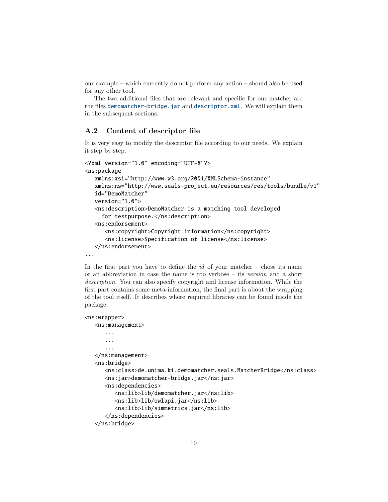our example – which currently do not perform any action – should also be used for any other tool.

The two additional files that are relevant and specific for our matcher are the files demomatcher-bridge.jar and descriptor.xml. We will explain them in the subsequent sections.

#### A.2 Content of descriptor file

It is very easy to modify the descriptor file according to our needs. We explain it step by step.

```
<?xml version="1.0" encoding="UTF-8"?>
<ns:package
  xmlns:xsi="http://www.w3.org/2001/XMLSchema-instance"
  xmlns:ns="http://www.seals-project.eu/resources/res/tools/bundle/v1"
  id="DemoMatcher"
  version="1.0">
  <ns:description>DemoMatcher is a matching tool developed
     for testpurpose.</ns:description>
  <ns:endorsement>
      <ns:copyright>Copyright information</ns:copyright>
      <ns:license>Specification of license</ns:license>
  </ns:endorsement>
...
```
In the first part you have to define the  $id$  of your matcher – chose its name or an abbreviation in case the name is too verbose – its version and a short description. You can also specify copyright and license information. While the first part contains some meta-information, the final part is about the wrapping of the tool itself. It describes where required libraries can be found inside the package.

#### <ns:wrapper>

```
<ns:management>
   ...
   ...
   ...
</ns:management>
<ns:bridge>
   <ns:class>de.unima.ki.demomatcher.seals.MatcherBridge</ns:class>
   <ns:jar>demomatcher-bridge.jar</ns:jar>
   <ns:dependencies>
      <ns:lib>lib/demomatcher.jar</ns:lib>
      <ns:lib>lib/owlapi.jar</ns:lib>
      <ns:lib>lib/simmetrics.jar</ns:lib>
   </ns:dependencies>
</ns:bridge>
```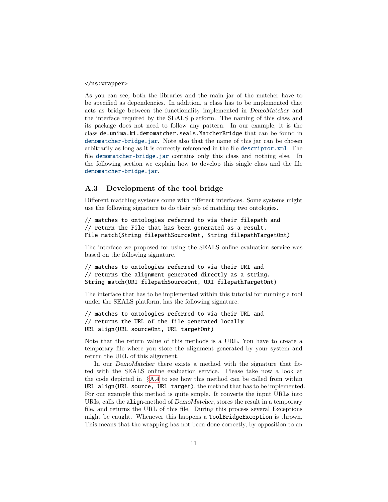#### </ns:wrapper>

As you can see, both the libraries and the main jar of the matcher have to be specified as dependencies. In addition, a class has to be implemented that acts as bridge between the functionality implemented in DemoMatcher and the interface required by the SEALS platform. The naming of this class and its package does not need to follow any pattern. In our example, it is the class de.unima.ki.demomatcher.seals.MatcherBridge that can be found in demomatcher-bridge.jar. Note also that the name of this jar can be chosen arbitrarily as long as it is correctly referenced in the file descriptor.xml. The file demomatcher-bridge.jar contains only this class and nothing else. In the following section we explain how to develop this single class and the file demomatcher-bridge.jar.

#### A.3 Development of the tool bridge

Different matching systems come with different interfaces. Some systems might use the following signature to do their job of matching two ontologies.

// matches to ontologies referred to via their filepath and // return the File that has been generated as a result. File match(String filepathSourceOnt, String filepathTargetOnt)

The interface we proposed for using the SEALS online evaluation service was based on the following signature.

```
// matches to ontologies referred to via their URI and
// returns the alignment generated directly as a string.
String match(URI filepathSourceOnt, URI filepathTargetOnt)
```
The interface that has to be implemented within this tutorial for running a tool under the SEALS platform, has the following signature.

```
// matches to ontologies referred to via their URL and
// returns the URL of the file generated locally
URL align(URL sourceOnt, URL targetOnt)
```
Note that the return value of this methods is a URL. You have to create a temporary file where you store the alignment generated by your system and return the URL of this alignment.

In our *DemoMatcher* there exists a method with the signature that fitted with the SEALS online evaluation service. Please take now a look at the code depicted in  $\S A.4$  $\S A.4$  to see how this method can be called from within URL align(URL source, URL target), the method that has to be implemented. For our example this method is quite simple. It converts the input URLs into URIs, calls the align-method of DemoMatcher, stores the result in a temporary file, and returns the URL of this file. During this process several Exceptions might be caught. Whenever this happens a ToolBridgeException is thrown. This means that the wrapping has not been done correctly, by opposition to an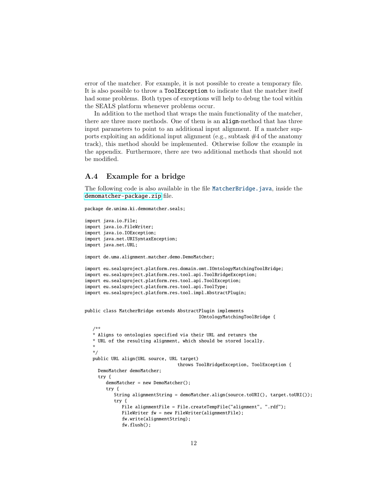error of the matcher. For example, it is not possible to create a temporary file. It is also possible to throw a ToolException to indicate that the matcher itself had some problems. Both types of exceptions will help to debug the tool within the SEALS platform whenever problems occur.

In addition to the method that wraps the main functionality of the matcher, there are three more methods. One of them is an align-method that has three input parameters to point to an additional input alignment. If a matcher supports exploiting an additional input alignment (e.g., subtask  $#4$  of the anatomy track), this method should be implemented. Otherwise follow the example in the appendix. Furthermore, there are two additional methods that should not be modified.

#### <span id="page-11-0"></span>A.4 Example for a bridge

The following code is also available in the file MatcherBridge.java, inside the [demomatcher-package.zip](http://oaei.ontologymatching.org/2011/tutorial/windows/demomatcher-package.zip) file.

```
package de.unima.ki.demomatcher.seals;
```

```
import java.io.File;
import java.io.FileWriter;
import java.io.IOException;
import java.net.URISyntaxException;
import java.net.URL;
import de.uma.alignment.matcher.demo.DemoMatcher;
import eu.sealsproject.platform.res.domain.omt.IOntologyMatchingToolBridge;
import eu.sealsproject.platform.res.tool.api.ToolBridgeException;
import eu.sealsproject.platform.res.tool.api.ToolException;
import eu.sealsproject.platform.res.tool.api.ToolType;
import eu.sealsproject.platform.res.tool.impl.AbstractPlugin;
public class MatcherBridge extends AbstractPlugin implements
                                           IOntologyMatchingToolBridge {
   /**
   * Aligns to ontologies specified via their URL and retunrs the
   * URL of the resulting alignment, which should be stored locally.
   *
   */
   public URL align(URL source, URL target)
                                   throws ToolBridgeException, ToolException {
    DemoMatcher demoMatcher;
     try {
        demoMatcher = new DemoMatcher();
        try {
           String alignmentString = demoMatcher.align(source.toURI(), target.toURI());
           try {
              File alignmentFile = File.createTempFile("alignment", ".rdf");
              FileWriter fw = new FileWriter(alignmentFile);
              fw.write(alignmentString);
              fw.flush();
```